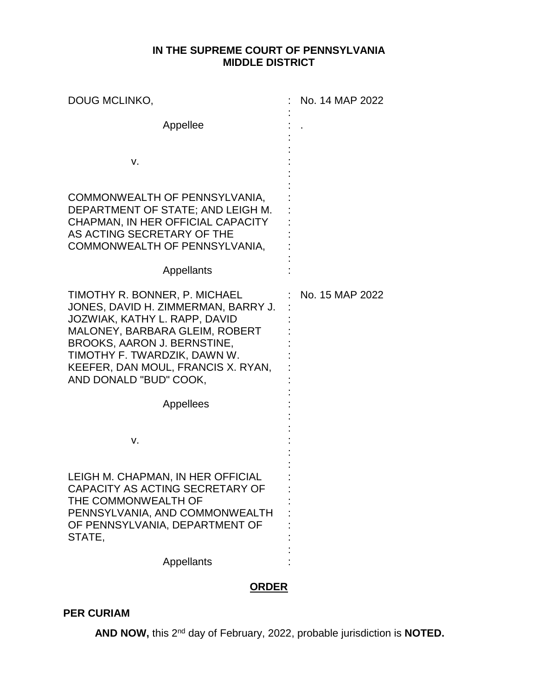## **IN THE SUPREME COURT OF PENNSYLVANIA MIDDLE DISTRICT**

| DOUG MCLINKO,                                                                                                                                                                                                                                                                 | No. 14 MAP 2022 |
|-------------------------------------------------------------------------------------------------------------------------------------------------------------------------------------------------------------------------------------------------------------------------------|-----------------|
| Appellee                                                                                                                                                                                                                                                                      |                 |
| v.                                                                                                                                                                                                                                                                            |                 |
| COMMONWEALTH OF PENNSYLVANIA,<br>DEPARTMENT OF STATE; AND LEIGH M.<br>CHAPMAN, IN HER OFFICIAL CAPACITY<br>AS ACTING SECRETARY OF THE<br>COMMONWEALTH OF PENNSYLVANIA,                                                                                                        |                 |
| Appellants                                                                                                                                                                                                                                                                    |                 |
| TIMOTHY R. BONNER, P. MICHAEL<br>JONES, DAVID H. ZIMMERMAN, BARRY J.<br>JOZWIAK, KATHY L. RAPP, DAVID<br>MALONEY, BARBARA GLEIM, ROBERT<br><b>BROOKS, AARON J. BERNSTINE,</b><br>TIMOTHY F. TWARDZIK, DAWN W.<br>KEEFER, DAN MOUL, FRANCIS X. RYAN,<br>AND DONALD "BUD" COOK, | No. 15 MAP 2022 |
| Appellees                                                                                                                                                                                                                                                                     |                 |
| v.                                                                                                                                                                                                                                                                            |                 |
| LEIGH M. CHAPMAN, IN HER OFFICIAL<br>CAPACITY AS ACTING SECRETARY OF<br>THE COMMONWEALTH OF<br>PENNSYLVANIA, AND COMMONWEALTH<br>OF PENNSYLVANIA, DEPARTMENT OF<br>STATE.                                                                                                     |                 |
| Appellants                                                                                                                                                                                                                                                                    |                 |

## **ORDER**

## **PER CURIAM**

AND NOW, this 2<sup>nd</sup> day of February, 2022, probable jurisdiction is NOTED.